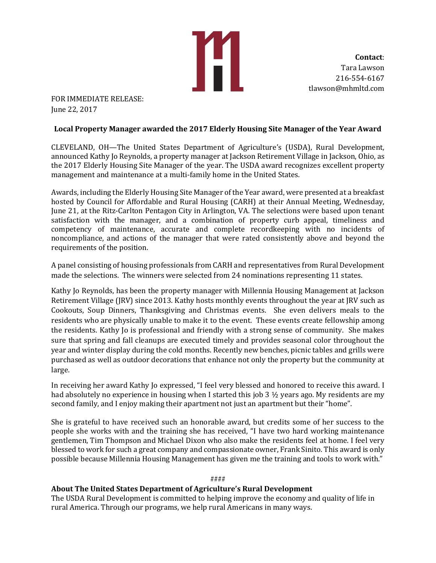H

**Contact**: Tara Lawson 216-554-6167 tlawson@mhmltd.com

FOR IMMEDIATE RELEASE: June 22, 2017

# **Local Property Manager awarded the 2017 Elderly Housing Site Manager of the Year Award**

CLEVELAND, OH—The United States Department of Agriculture's (USDA), Rural Development, announced Kathy Jo Reynolds, a property manager at Jackson Retirement Village in Jackson, Ohio, as the 2017 Elderly Housing Site Manager of the year. The USDA award recognizes excellent property management and maintenance at a multi-family home in the United States.

Awards, including the Elderly Housing Site Manager of the Year award, were presented at a breakfast hosted by Council for Affordable and Rural Housing (CARH) at their Annual Meeting, Wednesday, June 21, at the Ritz-Carlton Pentagon City in Arlington, VA. The selections were based upon tenant satisfaction with the manager, and a combination of property curb appeal, timeliness and competency of maintenance, accurate and complete recordkeeping with no incidents of noncompliance, and actions of the manager that were rated consistently above and beyond the requirements of the position.

A panel consisting of housing professionals from CARH and representatives from Rural Development made the selections. The winners were selected from 24 nominations representing 11 states.

Kathy Jo Reynolds, has been the property manager with Millennia Housing Management at Jackson Retirement Village (JRV) since 2013. Kathy hosts monthly events throughout the year at JRV such as Cookouts, Soup Dinners, Thanksgiving and Christmas events. She even delivers meals to the residents who are physically unable to make it to the event. These events create fellowship among the residents. Kathy Jo is professional and friendly with a strong sense of community. She makes sure that spring and fall cleanups are executed timely and provides seasonal color throughout the year and winter display during the cold months. Recently new benches, picnic tables and grills were purchased as well as outdoor decorations that enhance not only the property but the community at large.

In receiving her award Kathy Jo expressed, "I feel very blessed and honored to receive this award. I had absolutely no experience in housing when I started this job 3 ½ years ago. My residents are my second family, and I enjoy making their apartment not just an apartment but their "home".

She is grateful to have received such an honorable award, but credits some of her success to the people she works with and the training she has received, "I have two hard working maintenance gentlemen, Tim Thompson and Michael Dixon who also make the residents feel at home. I feel very blessed to work for such a great company and compassionate owner, Frank Sinito. This award is only possible because Millennia Housing Management has given me the training and tools to work with."

#### ####

# **About The United States Department of Agriculture's Rural Development**

The USDA Rural Development is committed to helping improve the economy and quality of life in rural America. Through our programs, we help rural Americans in many ways.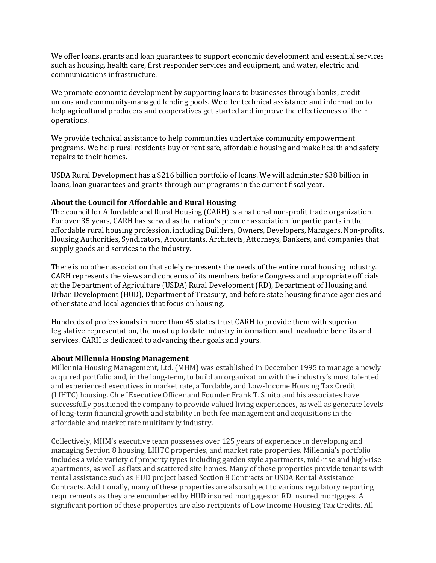We offer loans, grants and loan guarantees to support economic development and essential services such as housing, health care, first responder services and equipment, and water, electric and communications infrastructure.

We promote economic development by supporting loans to businesses through banks, credit unions and community-managed lending pools. We offer technical assistance and information to help agricultural producers and cooperatives get started and improve the effectiveness of their operations.

We provide technical assistance to help communities undertake community empowerment programs. We help rural residents buy or rent safe, affordable housing and make health and safety repairs to their homes.

USDA Rural Development has a \$216 billion portfolio of loans. We will administer \$38 billion in loans, loan guarantees and grants through our programs in the current fiscal year.

### **About the Council for Affordable and Rural Housing**

The council for Affordable and Rural Housing (CARH) is a national non-profit trade organization. For over 35 years, CARH has served as the nation's premier association for participants in the affordable rural housing profession, including Builders, Owners, Developers, Managers, Non-profits, Housing Authorities, Syndicators, Accountants, Architects, Attorneys, Bankers, and companies that supply goods and services to the industry.

There is no other association that solely represents the needs of the entire rural housing industry. CARH represents the views and concerns of its members before Congress and appropriate officials at the Department of Agriculture (USDA) Rural Development (RD), Department of Housing and Urban Development (HUD), Department of Treasury, and before state housing finance agencies and other state and local agencies that focus on housing.

Hundreds of professionals in more than 45 states trust CARH to provide them with superior legislative representation, the most up to date industry information, and invaluable benefits and services. CARH is dedicated to advancing their goals and yours.

#### **About Millennia Housing Management**

Millennia Housing Management, Ltd. (MHM) was established in December 1995 to manage a newly acquired portfolio and, in the long-term, to build an organization with the industry's most talented and experienced executives in market rate, affordable, and Low-Income Housing Tax Credit (LIHTC) housing. Chief Executive Officer and Founder Frank T. Sinito and his associates have successfully positioned the company to provide valued living experiences, as well as generate levels of long-term financial growth and stability in both fee management and acquisitions in the affordable and market rate multifamily industry.

Collectively, MHM's executive team possesses over 125 years of experience in developing and managing Section 8 housing, LIHTC properties, and market rate properties. Millennia's portfolio includes a wide variety of property types including garden style apartments, mid-rise and high-rise apartments, as well as flats and scattered site homes. Many of these properties provide tenants with rental assistance such as HUD project based Section 8 Contracts or USDA Rental Assistance Contracts. Additionally, many of these properties are also subject to various regulatory reporting requirements as they are encumbered by HUD insured mortgages or RD insured mortgages. A significant portion of these properties are also recipients of Low Income Housing Tax Credits. All